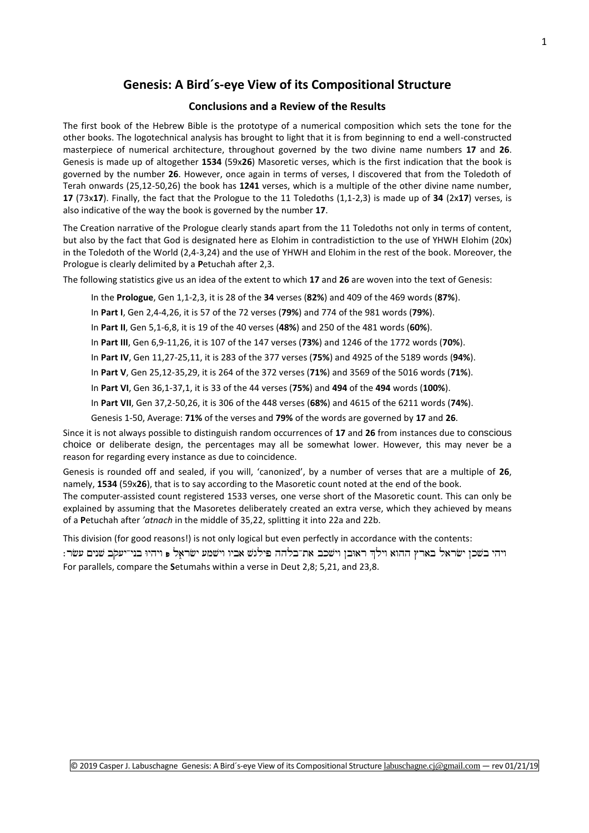# **Genesis: A Bird´s-eye View of its Compositional Structure**

#### **[Con](http://www.labuschagne.nl/exodus/8Exod1-40.pdf)clusions and a Review of the Results**

The first book of the Hebrew Bible is the prototype of a numerical composition which sets the tone for the other books. The logotechnical analysis has brought to light that it is from beginning to end a well-constructed masterpiece of numerical architecture, throughout governed by the two divine name numbers **17** and **26**. Genesis is made up of altogether **1534** (59x**26**) Masoretic verses, which is the first indication that the book is governed by the number **26**. However, once again in terms of verses, I discovered that from the Toledoth of Terah onwards (25,12-50,26) the book has **1241** verses, which is a multiple of the other divine name number, **17** (73x**17**). Finally, the fact that the Prologue to the 11 Toledoths (1,1-2,3) is made up of **34** (2x**17**) verses, is also indicative of the way the book is governed by the number **17**.

The Creation narrative of the Prologue clearly stands apart from the 11 Toledoths not only in terms of content, but also by the fact that God is designated here as Elohim in contradistiction to the use of YHWH Elohim (20x) in the Toledoth of the World (2,4-3,24) and the use of YHWH and Elohim in the rest of the book. Moreover, the Prologue is clearly delimited by a **P**etuchah after 2,3.

The following statistics give us an idea of the extent to which **17** and **26** are woven into the text of Genesis:

In the **Prologue**, Gen 1,1-2,3, it is 28 of the **34** verses (**82%**) and 409 of the 469 words (**87%**).

In **Part I**, Gen 2,4-4,26, it is 57 of the 72 verses (**79%**) and 774 of the 981 words (**79%**).

- In **Part II**, Gen 5,1-6,8, it is 19 of the 40 verses (**48%**) and 250 of the 481 words (**60%**).
- In **Part III**, Gen 6,9-11,26, it is 107 of the 147 verses (**73%**) and 1246 of the 1772 words (**70%**).
- In **Part IV**, Gen 11,27-25,11, it is 283 of the 377 verses (**75%**) and 4925 of the 5189 words (**94%**).
- In **Part V**, Gen 25,12-35,29, it is 264 of the 372 verses (**71%**) and 3569 of the 5016 words (**71%**).
- In **Part VI**, Gen 36,1-37,1, it is 33 of the 44 verses (**75%**) and **494** of the **494** words (**100%**).
- In **Part VII**, Gen 37,2-50,26, it is 306 of the 448 verses (**68%**) and 4615 of the 6211 words (**74%**).

Genesis 1-50, Average: **71%** of the verses and **79%** of the words are governed by **17** and **26**.

Since it is not always possible to distinguish random occurrences of **17** and **26** from instances due to conscious choice or deliberate design, the percentages may all be somewhat lower. However, this may never be a reason for regarding every instance as due to coincidence.

Genesis is rounded off and sealed, if you will, 'canonized', by a number of verses that are a multiple of **26**, namely, **1534** (59x**26**), that is to say according to the Masoretic count noted at the end of the book.

The computer-assisted count registered 1533 verses, one verse short of the Masoretic count. This can only be explained by assuming that the Masoretes deliberately created an extra verse, which they achieved by means of a **P**etuchah after *'atnach* in the middle of 35,22, splitting it into 22a and 22b.

This division (for good reasons!) is not only logical but even perfectly in accordance with the contents:

ויהי בשכן ישראל בארץ ההוא וילך ראובן וישכב את־בלהה פילגש אביו וישמע ישראל פ ויהיו בני־יעקב שנים עשר: For parallels, compare the **S**etumahs within a verse in Deut 2,8; 5,21, and 23,8.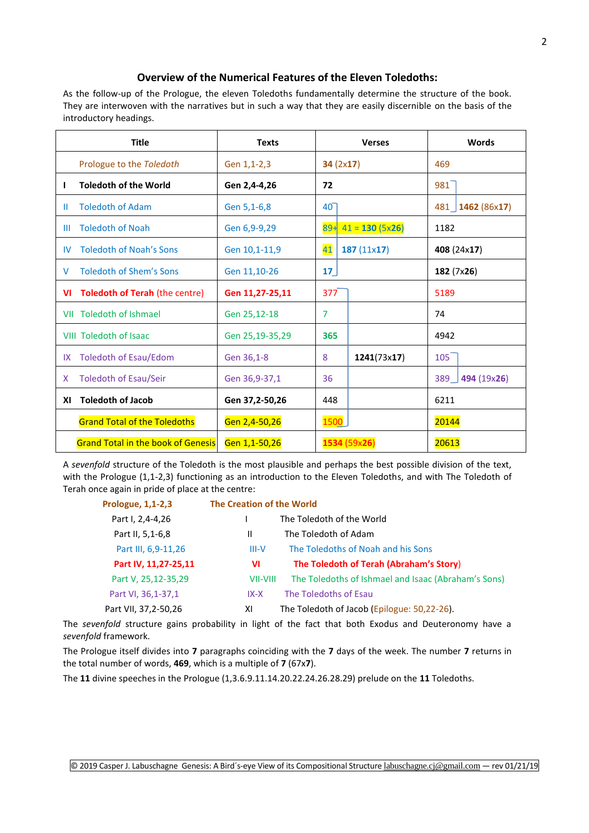### **Overview of the Numerical Features of the Eleven Toledoths:**

As the follow-up of the Prologue, the eleven Toledoths fundamentally determine the structure of the book. They are interwoven with the narratives but in such a way that they are easily discernible on the basis of the introductory headings.

|     | <b>Title</b>                              | <b>Texts</b>    |                 | <b>Verses</b>         |       | <b>Words</b>           |
|-----|-------------------------------------------|-----------------|-----------------|-----------------------|-------|------------------------|
|     | Prologue to the Toledoth                  | Gen 1,1-2,3     | 34 $(2x17)$     |                       | 469   |                        |
| H   | <b>Toledoth of the World</b>              | Gen 2,4-4,26    | 72              |                       | 981   |                        |
| Ш   | <b>Toledoth of Adam</b>                   | Gen 5,1-6,8     | $40-$           |                       |       | 481   1462 ( $86x17$ ) |
| ШL  | <b>Toledoth of Noah</b>                   | Gen 6,9-9,29    |                 | $89+ 41 = 130 (5x26)$ | 1182  |                        |
| IV  | <b>Toledoth of Noah's Sons</b>            | Gen 10,1-11,9   | 41              | 187 $(11x17)$         |       | 408 (24x17)            |
| V   | Toledoth of Shem's Sons                   | Gen 11,10-26    | 17 <sub>2</sub> |                       |       | 182 (7x26)             |
| VI  | <b>Toledoth of Terah (the centre)</b>     | Gen 11,27-25,11 | 377             |                       | 5189  |                        |
|     | <b>VII</b> Toledoth of Ishmael            | Gen 25,12-18    | $\overline{7}$  |                       | 74    |                        |
|     | <b>VIII Toledoth of Isaac</b>             | Gen 25,19-35,29 | 365             |                       | 4942  |                        |
| IX. | Toledoth of Esau/Edom                     | Gen 36,1-8      | 8               | 1241(73x17)           | 105   |                        |
| X.  | <b>Toledoth of Esau/Seir</b>              | Gen 36,9-37,1   | 36              |                       | 389   | 494 (19x26)            |
| XI  | <b>Toledoth of Jacob</b>                  | Gen 37,2-50,26  | 448             |                       | 6211  |                        |
|     | <b>Grand Total of the Toledoths</b>       | Gen 2,4-50,26   | 1500            |                       | 20144 |                        |
|     | <b>Grand Total in the book of Genesis</b> | Gen 1,1-50,26   | 1534 (59x26)    |                       | 20613 |                        |

A *sevenfold* structure of the Toledoth is the most plausible and perhaps the best possible division of the text, with the Prologue (1,1-2,3) functioning as an introduction to the Eleven Toledoths, and with The Toledoth of Terah once again in pride of place at the centre:

| Prologue, 1,1-2,3      | <b>The Creation of the World</b> |                                                     |
|------------------------|----------------------------------|-----------------------------------------------------|
| Part I, 2,4-4,26       |                                  | The Toledoth of the World                           |
| Part II, 5,1-6,8       | Ш                                | The Toledoth of Adam                                |
| Part III, 6,9-11,26    | $III-V$                          | The Toledoths of Noah and his Sons                  |
| Part IV, 11, 27-25, 11 | VI                               | The Toledoth of Terah (Abraham's Story)             |
| Part V, 25, 12-35, 29  | VII-VIII                         | The Toledoths of Ishmael and Isaac (Abraham's Sons) |
| Part VI, 36, 1-37, 1   | $IX - X$                         | The Toledoths of Esau                               |
| Part VII, 37, 2-50, 26 | ΧI                               | The Toledoth of Jacob (Epilogue: 50,22-26).         |

The *sevenfold* structure gains probability in light of the fact that both Exodus and Deuteronomy have a *sevenfold* framework.

The Prologue itself divides into **7** paragraphs coinciding with the **7** days of the week. The number **7** returns in the total number of words, **469**, which is a multiple of **7** (67x**7**).

The **11** divine speeches in the Prologue (1,3.6.9.11.14.20.22.24.26.28.29) prelude on the **11** Toledoths.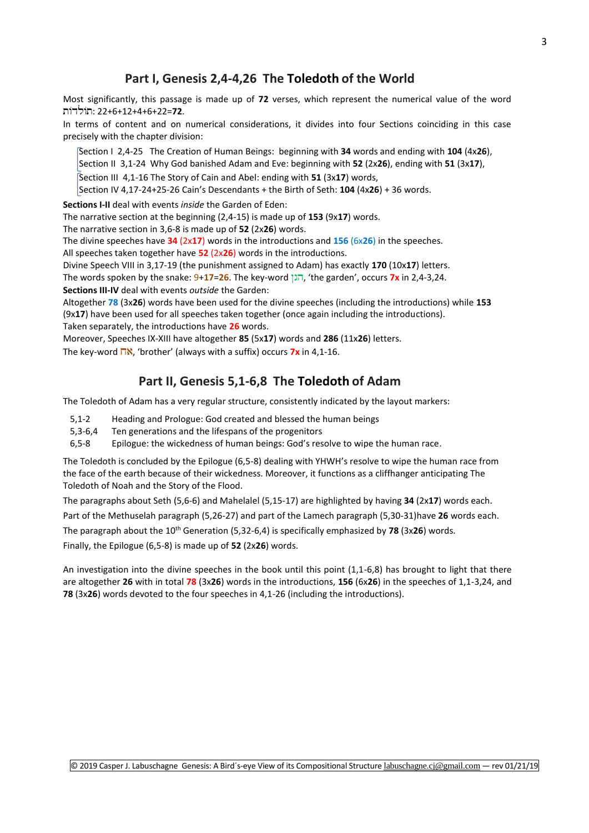## **Part I, Genesis 2,4-4,26 The Toledoth of the World**

Most significantly, this passage is made up of **72** verses, which represent the numerical value of the word : 22+6+12+4+6+22=**72**.

In terms of content and on numerical considerations, it divides into four Sections coinciding in this case precisely with the chapter division:

 Section I 2,4-25 The Creation of Human Beings: beginning with **34** words and ending with **104** (4x**26**), Section II 3,1-24 Why God banished Adam and Eve: beginning with **52** (2x**26**), ending with **51** (3x**17**), Section III 4,1-16 The Story of Cain and Abel: ending with **51** (3x**17**) words,

Section IV 4,17-24+25-26 Cain's Descendants + the Birth of Seth: **104** (4x**26**) + 36 words.

**Sections I-II** deal with events *inside* the Garden of Eden:

The narrative section at the beginning (2,4-15) is made up of **153** (9x**17**) words.

The narrative section in 3,6-8 is made up of **52** (2x**26**) words.

The divine speeches have **34** (2x**17**) words in the introductions and **156** (6x**26**) in the speeches.

All speeches taken together have **52** (2x**26**) words in the introductions.

Divine Speech VIII in 3,17-19 (the punishment assigned to Adam) has exactly **170** (10x**17**) letters.

The words spoken by the snake: 9+**17**=**26**. The key-word , 'the garden', occurs **7x** in 2,4-3,24.

**Sections III-IV** deal with events *outside* the Garden:

Altogether **78** (3x**26**) words have been used for the divine speeches (including the introductions) while **153**  (9x**17**) have been used for all speeches taken together (once again including the introductions).

Taken separately, the introductions have **26** words.

Moreover, Speeches IX-XIII have altogether **85** (5x**17**) words and **286** (11x**26**) letters.

The key-word  $\overline{\mathsf{N}}$ , 'brother' (always with a suffix) occurs **7x** in 4,1-16.

## **Part II, Genesis 5,1-6,8 The Toledoth of Adam**

The Toledoth of Adam has a very regular structure, consistently indicated by the layout markers:

- 5,1-2 Heading and Prologue: God created and blessed the human beings
- 5,3-6,4 Ten generations and the lifespans of the progenitors
- 6,5-8 Epilogue: the wickedness of human beings: God's resolve to wipe the human race.

The Toledoth is concluded by the Epilogue (6,5-8) dealing with YHWH's resolve to wipe the human race from the face of the earth because of their wickedness. Moreover, it functions as a cliffhanger anticipating The Toledoth of Noah and the Story of the Flood.

The paragraphs about Seth (5,6-6) and Mahelalel (5,15-17) are highlighted by having **34** (2x**17**) words each.

Part of the Methuselah paragraph (5,26-27) and part of the Lamech paragraph (5,30-31)have **26** words each.

The paragraph about the 10<sup>th</sup> Generation (5,32-6,4) is specifically emphasized by 78 (3x26) words.

Finally, the Epilogue (6,5-8) is made up of **52** (2x**26**) words.

An investigation into the divine speeches in the book until this point (1,1-6,8) has brought to light that there are altogether **26** with in total **78** (3x**26**) words in the introductions, **156** (6x**26**) in the speeches of 1,1-3,24, and **78** (3x**26**) words devoted to the four speeches in 4,1-26 (including the introductions).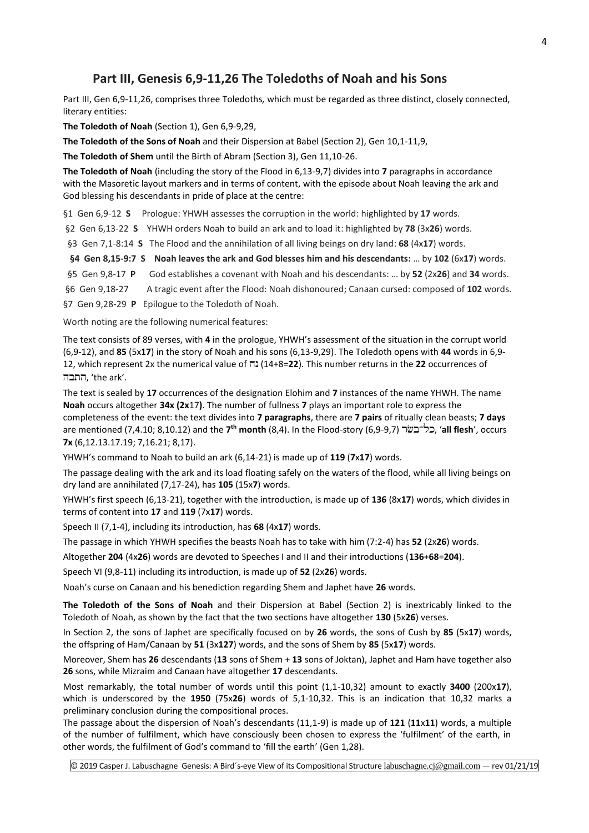## **Part III, Genesis 6,9-11,26 The Toledoths of Noah and his Sons**

Part III, Gen 6,9-11,26, comprises three Toledoths*,* which must be regarded as three distinct, closely connected, literary entities:

**The Toledoth of Noah** (Section 1), Gen 6,9-9,29,

**The Toledoth of the Sons of Noah** and their Dispersion at Babel (Section 2), Gen 10,1-11,9,

**The Toledoth of Shem** until the Birth of Abram (Section 3), Gen 11,10-26.

**The Toledoth of Noah** (including the story of the Flood in 6,13-9,7) divides into **7** paragraphs in accordance with the Masoretic layout markers and in terms of content, with the episode about Noah leaving the ark and God blessing his descendants in pride of place at the centre:

§1 Gen 6,9-12 **S** Prologue: YHWH assesses the corruption in the world: highlighted by **17** words.

§2 Gen 6,13-22 **S** YHWH orders Noah to build an ark and to load it: highlighted by **78** (3x**26**) words.

§3 Gen 7,1-8:14 **S** The Flood and the annihilation of all living beings on dry land: **68** (4x**17**) words.

**§4 Gen 8,15-9:7 S Noah leaves the ark and God blesses him and his descendants:** … by **102** (6x**17**) words.

§5 Gen 9,8-17 **P** God establishes a covenant with Noah and his descendants: … by **52** (2x**26**) and **34** words.

§6 Gen 9,18-27 A tragic event after the Flood: Noah dishonoured; Canaan cursed: composed of **102** words.

§7 Gen 9,28-29 **P** Epilogue to the Toledoth of Noah.

Worth noting are the following numerical features:

The text consists of 89 verses, with **4** in the prologue, YHWH's assessment of the situation in the corrupt world (6,9-12), and **85** (5x**17**) in the story of Noah and his sons (6,13-9,29). The Toledoth opens with **44** words in 6,9- 12, which represent 2x the numerical value of (14+8=**22**). This number returns in the **22** occurrences of , 'the ark'.

The text is sealed by **17** occurrences of the designation Elohim and **7** instances of the name YHWH. The name **Noah** occurs altogether **34x (2x**17**)**. The number of fullness **7** plays an important role to express the completeness of the event: the text divides into **7 paragraphs**, there are **7 pairs** of ritually clean beasts; **7 days** are mentioned (7,4.10; 8,10.12) and the **7 th month** (8,4). In the Flood-story (6,9-9,7) , '**all flesh**', occurs **7x** (6,12.13.17.19; 7,16.21; 8,17).

YHWH's command to Noah to build an ark (6,14-21) is made up of **119** (**7**x**17**) words.

The passage dealing with the ark and its load floating safely on the waters of the flood, while all living beings on dry land are annihilated (7,17-24), has **105** (15x**7**) words.

YHWH's first speech (6,13-21), together with the introduction, is made up of **136** (8x**17**) words, which divides in terms of content into **17** and **119** (7x**17**) words.

Speech II (7,1-4), including its introduction, has **68** (4x**17**) words.

The passage in which YHWH specifies the beasts Noah has to take with him (7:2-4) has **52** (2x**26**) words.

Altogether **204** (4x**26**) words are devoted to Speeches I and II and their introductions (**136**+**68**=**204**).

Speech VI (9,8-11) including its introduction, is made up of **52** (2x**26**) words.

Noah's curse on Canaan and his benediction regarding Shem and Japhet have **26** words.

**The Toledoth of the Sons of Noah** and their Dispersion at Babel (Section 2) is inextricably linked to the Toledoth of Noah, as shown by the fact that the two sections have altogether **130** (5x**26**) verses.

In Section 2, the sons of Japhet are specifically focused on by **26** words, the sons of Cush by **85** (5x**17**) words, the offspring of Ham/Canaan by **51** (3x**127**) words, and the sons of Shem by **85** (5x**17**) words.

Moreover, Shem has **26** descendants (**13** sons of Shem + **13** sons of Joktan), Japhet and Ham have together also **26** sons, while Mizraim and Canaan have altogether **17** descendants.

Most remarkably, the total number of words until this point (1,1-10,32) amount to exactly **3400** (200x**17**), which is underscored by the **1950** (75x**26**) words of 5,1-10,32. This is an indication that 10,32 marks a preliminary conclusion during the compositional proces.

The passage about the dispersion of Noah's descendants (11,1-9) is made up of **121** (**11**x**11**) words, a multiple of the number of fulfilment, which have consciously been chosen to express the 'fulfilment' of the earth, in other words, the fulfilment of God's command to 'fill the earth' (Gen 1,28).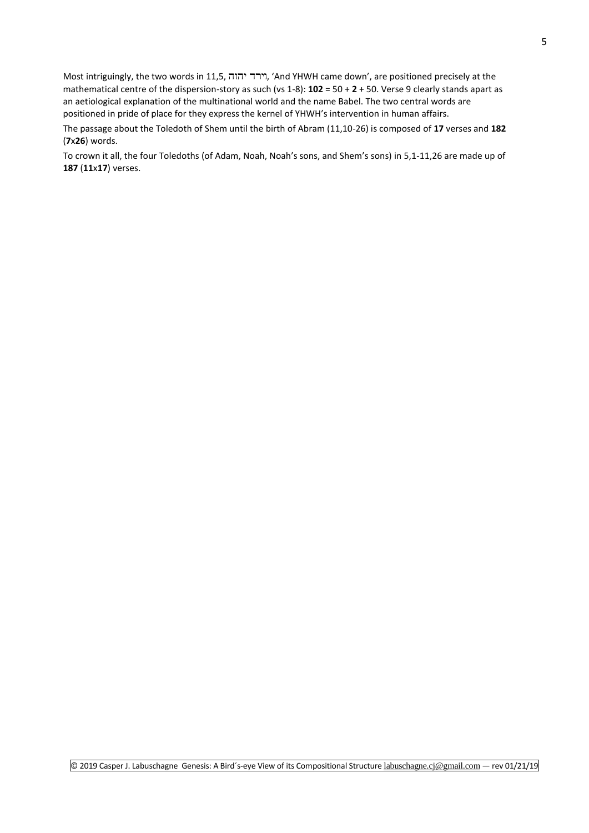Most intriguingly, the two words in 11,5, וירד יהוה, 'And YHWH came down', are positioned precisely at the mathematical centre of the dispersion-story as such (vs 1-8): **102** = 50 + **2** + 50. Verse 9 clearly stands apart as an aetiological explanation of the multinational world and the name Babel. The two central words are positioned in pride of place for they express the kernel of YHWH's intervention in human affairs.

The passage about the Toledoth of Shem until the birth of Abram (11,10-26) is composed of **17** verses and **182** (**7**x**26**) words.

To crown it all, the four Toledoths (of Adam, Noah, Noah's sons, and Shem's sons) in 5,1-11,26 are made up of **187** (**11**x**17**) verses.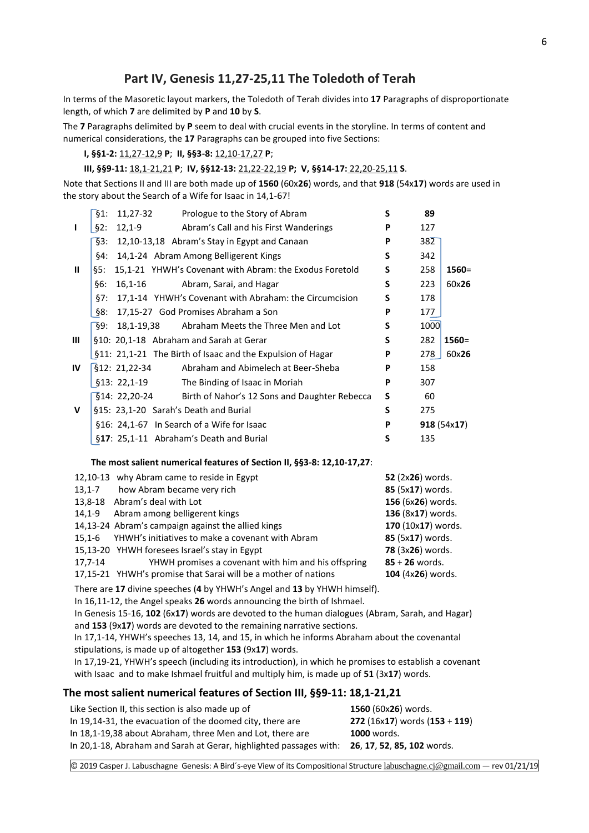# **Part IV, Genesis 11,27-25,11 The Toledoth of Terah**

In terms of the Masoretic layout markers, the Toledoth of Terah divides into **17** Paragraphs of disproportionate length, of which **7** are delimited by **P** and **10** by **S**.

The **7** Paragraphs delimited by **P** seem to deal with crucial events in the storyline. In terms of content and numerical considerations, the **17** Paragraphs can be grouped into five Sections:

## **I, §§1-2:** 11,27-12,9 **P**; **II, §§3-8:** 12,10-17,27 **P**;

**III, §§9-11:** 18,1-21,21 **P**; **IV, §§12-13:** 21,22-22,19 **P; V, §§14-17:** 22,20-25,11 **S**.

Note that Sections II and III are both made up of **1560** (60x**26**) words, and that **918** (54x**17**) words are used in the story about the Search of a Wife for Isaac in 14,1-67!

|              | §1:<br>11,27-32<br>Prologue to the Story of Abram              | S | 89   |            |
|--------------|----------------------------------------------------------------|---|------|------------|
| ı            | $\S2$ :<br>$12,1-9$<br>Abram's Call and his First Wanderings   | P | 127  |            |
|              | §3:<br>12,10-13,18 Abram's Stay in Egypt and Canaan            | P | 382  |            |
|              | §4:<br>14,1-24 Abram Among Belligerent Kings                   | S | 342  |            |
| $\mathbf{u}$ | 15,1-21 YHWH's Covenant with Abram: the Exodus Foretold<br>§5: | S | 258  | $1560 =$   |
|              | §6:<br>$16, 1 - 16$<br>Abram, Sarai, and Hagar                 | S | 223  | 60x26      |
|              | 17,1-14 YHWH's Covenant with Abraham: the Circumcision<br>§7:  | S | 178  |            |
|              | §8:<br>17,15-27 God Promises Abraham a Son                     | P | 177  |            |
|              | §9:<br>Abraham Meets the Three Men and Lot<br>18,1-19,38       | S | 1000 |            |
| Ш            | §10: 20,1-18 Abraham and Sarah at Gerar                        | S | 282  | $1560 =$   |
|              | §11: 21,1-21 The Birth of Isaac and the Expulsion of Hagar     | P | 278  | 60x26      |
| IV           | §12: 21,22-34<br>Abraham and Abimelech at Beer-Sheba           | P | 158  |            |
|              | §13: 22,1-19<br>The Binding of Isaac in Moriah                 | P | 307  |            |
|              | §14: 22,20-24<br>Birth of Nahor's 12 Sons and Daughter Rebecca | S | 60   |            |
| V            | §15: 23,1-20 Sarah's Death and Burial                          | S | 275  |            |
|              | §16: 24,1-67 In Search of a Wife for Isaac                     | P |      | 918(54x17) |
|              | §17: 25,1-11 Abraham's Death and Burial                        | S | 135  |            |

#### **The most salient numerical features of Section II, §§3-8: 12,10-17,27**:

|            | 12,10-13 why Abram came to reside in Egypt                     | 52 (2x26) words.   |
|------------|----------------------------------------------------------------|--------------------|
| $13.1 - 7$ | how Abram became very rich                                     | 85 (5x17) words.   |
|            | 13,8-18 Abram's deal with Lot                                  | 156 (6x26) words.  |
| 14.1-9     | Abram among belligerent kings                                  | 136 (8x17) words.  |
|            | 14,13-24 Abram's campaign against the allied kings             | 170 (10x17) words. |
|            | 15,1-6 YHWH's initiatives to make a covenant with Abram        | 85 (5x17) words.   |
|            | 15,13-20 YHWH foresees Israel's stay in Egypt                  | 78 (3x26) words.   |
| 17,7-14    | YHWH promises a covenant with him and his offspring            | $85 + 26$ words.   |
|            | 17,15-21 YHWH's promise that Sarai will be a mother of nations | 104 (4x26) words.  |

There are **17** divine speeches (**4** by YHWH's Angel and **13** by YHWH himself).

In 16,11-12, the Angel speaks **26** words announcing the birth of Ishmael.

 In Genesis 15-16, **102** (6x**17**) words are devoted to the human dialogues (Abram, Sarah, and Hagar) and **153** (9x**17**) words are devoted to the remaining narrative sections.

 In 17,1-14, YHWH's speeches 13, 14, and 15, in which he informs Abraham about the covenantal stipulations, is made up of altogether **153** (9x**17**) words.

 In 17,19-21, YHWH's speech (including its introduction), in which he promises to establish a covenant with Isaac and to make Ishmael fruitful and multiply him, is made up of **51** (3x**17**) words.

## **The most salient numerical features of Section III, §§9-11: 18,1-21,21**

| Like Section II, this section is also made up of                                              | 1560 (60x26) words.             |
|-----------------------------------------------------------------------------------------------|---------------------------------|
| In 19,14-31, the evacuation of the doomed city, there are                                     | 272 (16x17) words $(153 + 119)$ |
| In 18,1-19,38 about Abraham, three Men and Lot, there are                                     | <b>1000</b> words.              |
| In 20,1-18, Abraham and Sarah at Gerar, highlighted passages with: 26, 17, 52, 85, 102 words. |                                 |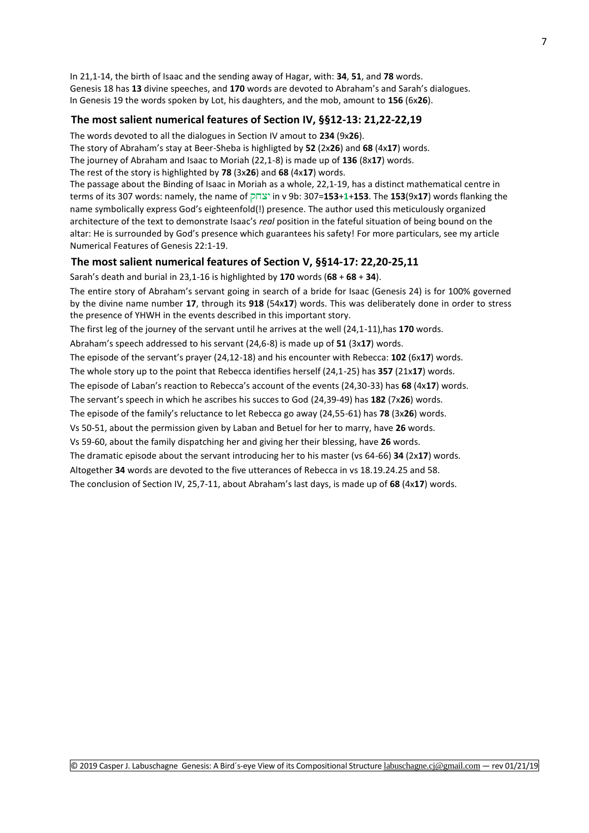In 21,1-14, the birth of Isaac and the sending away of Hagar, with: **34**, **51**, and **78** words. Genesis 18 has **13** divine speeches, and **170** words are devoted to Abraham's and Sarah's dialogues. In Genesis 19 the words spoken by Lot, his daughters, and the mob, amount to **156** (6x**26**).

### **The most salient numerical features of Section IV, §§12-13: 21,22-22,19**

The words devoted to all the dialogues in Section IV amout to **234** (9x**26**).

The story of Abraham's stay at Beer-Sheba is highligted by **52** (2x**26**) and **68** (4x**17**) words.

The journey of Abraham and Isaac to Moriah (22,1-8) is made up of **136** (8x**17**) words.

The rest of the story is highlighted by **78** (3x**26**) and **68** (4x**17**) words.

The passage about the Binding of Isaac in Moriah as a whole, 22,1-19, has a distinct mathematical centre in terms of its 307 words: namely, the name of in v 9b: 307=**153**+**1**+**153**. The **153**(9x**17**) words flanking the name symbolically express God's eighteenfold(!) presence. The author used this meticulously organized architecture of the text to demonstrate Isaac's *real* position in the fateful situation of being bound on the altar: He is surrounded by God's presence which guarantees his safety! For more particulars, see my article [Numerical Features of Genesis 22:1-19.](http://www.labuschagne.nl/19.genesis22,1-19.pdf)

#### **The most salient numerical features of Section V, §§14-17: 22,20-25,11**

Sarah's death and burial in 23,1-16 is highlighted by **170** words (**68** + **68** + **34**).

The entire story of Abraham's servant going in search of a bride for Isaac (Genesis 24) is for 100% governed by the divine name number **17**, through its **918** (54x**17**) words. This was deliberately done in order to stress the presence of YHWH in the events described in this important story.

The first leg of the journey of the servant until he arrives at the well (24,1-11),has **170** words.

Abraham's speech addressed to his servant (24,6-8) is made up of **51** (3x**17**) words.

The episode of the servant's prayer (24,12-18) and his encounter with Rebecca: **102** (6x**17**) words.

The whole story up to the point that Rebecca identifies herself (24,1-25) has **357** (21x**17**) words.

The episode of Laban's reaction to Rebecca's account of the events (24,30-33) has **68** (4x**17**) words.

The servant's speech in which he ascribes his succes to God (24,39-49) has **182** (7x**26**) words.

The episode of the family's reluctance to let Rebecca go away (24,55-61) has **78** (3x**26**) words.

Vs 50-51, about the permission given by Laban and Betuel for her to marry, have **26** words.

Vs 59-60, about the family dispatching her and giving her their blessing, have **26** words.

The dramatic episode about the servant introducing her to his master (vs 64-66) **34** (2x**17**) words.

Altogether **34** words are devoted to the five utterances of Rebecca in vs 18.19.24.25 and 58.

The conclusion of Section IV, 25,7-11, about Abraham's last days, is made up of **68** (4x**17**) words.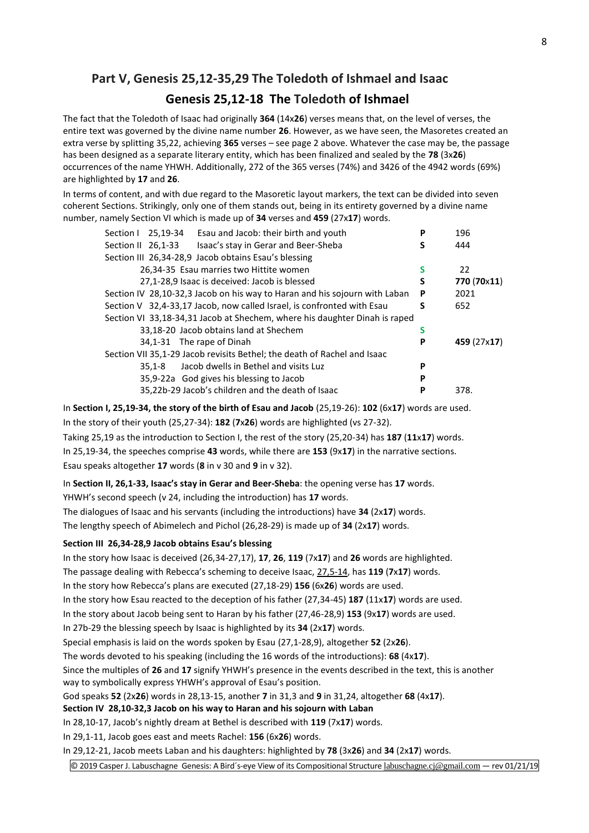# **Part V, Genesis 25,12-35,29 The Toledoth of Ishmael and Isaac Genesis 25,12-18 The Toledoth of Ishmael**

The fact that the Toledoth of Isaac had originally **364** (14x**26**) verses means that, on the level of verses, the entire text was governed by the divine name number **26**. However, as we have seen, the Masoretes created an extra verse by splitting 35,22, achieving **365** verses – see page 2 above. Whatever the case may be, the passage has been designed as a separate literary entity, which has been finalized and sealed by the **78** (3x**26**) occurrences of the name YHWH. Additionally, 272 of the 365 verses (74%) and 3426 of the 4942 words (69%) are highlighted by **17** and **26**.

In terms of content, and with due regard to the Masoretic layout markers, the text can be divided into seven coherent Sections. Strikingly, only one of them stands out, being in its entirety governed by a divine name number, namely Section VI which is made up of **34** verses and **459** (27x**17**) words.

| Esau and Jacob: their birth and youth<br>25,19-34<br>Section I             | P | 196         |
|----------------------------------------------------------------------------|---|-------------|
| Isaac's stay in Gerar and Beer-Sheba<br>Section II 26.1-33                 | s | 444         |
| Section III 26,34-28,9 Jacob obtains Esau's blessing                       |   |             |
| 26,34-35 Esau marries two Hittite women                                    | s | 22          |
| 27,1-28,9 Isaac is deceived: Jacob is blessed                              | S | 770 (70x11) |
| Section IV 28,10-32,3 Jacob on his way to Haran and his sojourn with Laban | P | 2021        |
| Section V 32,4-33,17 Jacob, now called Israel, is confronted with Esau     | S | 652         |
| Section VI 33,18-34,31 Jacob at Shechem, where his daughter Dinah is raped |   |             |
| 33,18-20 Jacob obtains land at Shechem                                     | s |             |
| 34,1-31 The rape of Dinah                                                  | P | 459 (27x17) |
| Section VII 35,1-29 Jacob revisits Bethel; the death of Rachel and Isaac   |   |             |
| Jacob dwells in Bethel and visits Luz<br>$35.1 - 8$                        | P |             |
| 35,9-22a God gives his blessing to Jacob                                   | P |             |
| 35,22b-29 Jacob's children and the death of Isaac                          | P | 378.        |

In **Section I, 25,19-34, the story of the birth of Esau and Jacob** (25,19-26): **102** (6x**17**) words are used. In the story of their youth (25,27-34): **182** (**7**x**26**) words are highlighted (vs 27-32). Taking 25,19 as the introduction to Section I, the rest of the story (25,20-34) has **187** (**11**x**17**) words.

In 25,19-34, the speeches comprise **43** words, while there are **153** (9x**17**) in the narrative sections. Esau speaks altogether **17** words (**8** in v 30 and **9** in v 32).

In **Section II, 26,1-33, Isaac's stay in Gerar and Beer-Sheba**: the opening verse has **17** words.

YHWH's second speech (v 24, including the introduction) has **17** words.

The dialogues of Isaac and his servants (including the introductions) have **34** (2x**17**) words.

The lengthy speech of Abimelech and Pichol (26,28-29) is made up of **34** (2x**17**) words.

## **Section III 26,34-28,9 Jacob obtains Esau's blessing**

In the story how Isaac is deceived (26,34-27,17), **17**, **26**, **119** (7x**17**) and **26** words are highlighted.

The passage dealing with Rebecca's scheming to deceive Isaac, 27,5-14, has **119** (**7**x**17**) words.

In the story how Rebecca's plans are executed (27,18-29) **156** (6x**26**) words are used.

In the story how Esau reacted to the deception of his father (27,34-45) **187** (11x**17**) words are used.

In the story about Jacob being sent to Haran by his father (27,46-28,9) **153** (9x**17**) words are used.

In 27b-29 the blessing speech by Isaac is highlighted by its **34** (2x**17**) words.

Special emphasis is laid on the words spoken by Esau (27,1-28,9), altogether **52** (2x**26**).

The words devoted to his speaking (including the 16 words of the introductions): **68** (4x**17**).

Since the multiples of **26** and **17** signify YHWH's presence in the events described in the text, this is another way to symbolically express YHWH's approval of Esau's position.

God speaks **52** (2x**26**) words in 28,13-15, another **7** in 31,3 and **9** in 31,24, altogether **68** (4x**17**).

**Section IV 28,10-32,3 Jacob on his way to Haran and his sojourn with Laban**

In 28,10-17, Jacob's nightly dream at Bethel is described with **119** (7x**17**) words.

In 29,1-11, Jacob goes east and meets Rachel: **156** (6x**26**) words.

In 29,12-21, Jacob meets Laban and his daughters: highlighted by **78** (3x**26**) and **34** (2x**17**) words.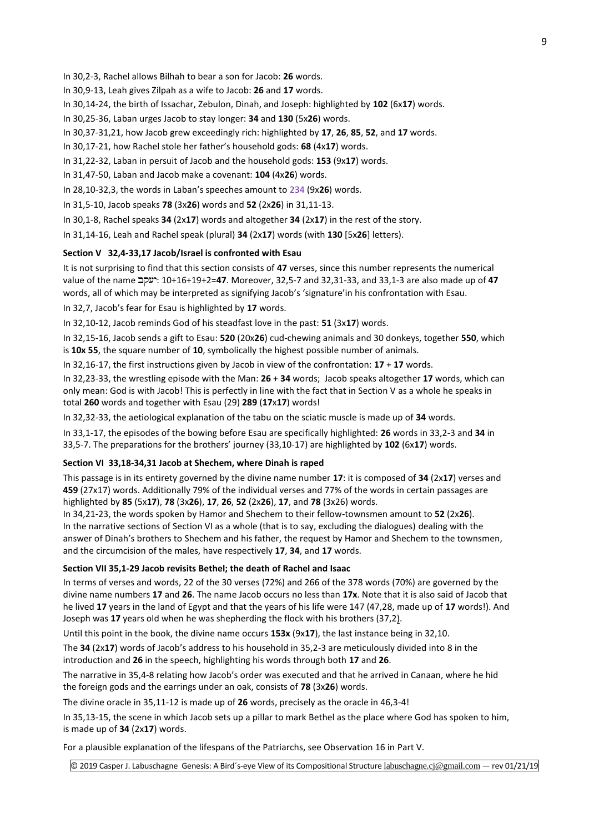In 30,2-3, Rachel allows Bilhah to bear a son for Jacob: **26** words.

In 30,9-13, Leah gives Zilpah as a wife to Jacob: **26** and **17** words.

In 30,14-24, the birth of Issachar, Zebulon, Dinah, and Joseph: highlighted by **102** (6x**17**) words.

In 30,25-36, Laban urges Jacob to stay longer: **34** and **130** (5x**26**) words.

In 30,37-31,21, how Jacob grew exceedingly rich: highlighted by **17**, **26**, **85**, **52**, and **17** words.

In 30,17-21, how Rachel stole her father's household gods: **68** (4x**17**) words.

In 31,22-32, Laban in persuit of Jacob and the household gods: **153** (9x**17**) words.

In 31,47-50, Laban and Jacob make a covenant: **104** (4x**26**) words.

In 28,10-32,3, the words in Laban's speeches amount to 234 (9x**26**) words.

In 31,5-10, Jacob speaks **78** (3x**26**) words and **52** (2x**26**) in 31,11-13.

In 30,1-8, Rachel speaks **34** (2x**17**) words and altogether **34** (2x**17**) in the rest of the story.

In 31,14-16, Leah and Rachel speak (plural) **34** (2x**17**) words (with **130** [5x**26**] letters).

#### **Section V 32,4-33,17 Jacob/Israel is confronted with Esau**

It is not surprising to find that this section consists of **47** verses, since this number represents the numerical value of the name : 10+16+19+2=**47**. Moreover, 32,5-7 and 32,31-33, and 33,1-3 are also made up of **47** words, all of which may be interpreted as signifying Jacob's 'signature'in his confrontation with Esau.

In 32,7, Jacob's fear for Esau is highlighted by **17** words.

In 32,10-12, Jacob reminds God of his steadfast love in the past: **51** (3x**17**) words.

In 32,15-16, Jacob sends a gift to Esau: **520** (20x**26**) cud-chewing animals and 30 donkeys, together **550**, which is **10x 55**, the square number of **10**, symbolically the highest possible number of animals.

In 32,16-17, the first instructions given by Jacob in view of the confrontation: **17** + **17** words.

In 32,23-33, the wrestling episode with the Man: **26** + **34** words; Jacob speaks altogether **17** words, which can only mean: God is with Jacob! This is perfectly in line with the fact that in Section V as a whole he speaks in total **260** words and together with Esau (29) **289** (**17**x**17**) words!

In 32,32-33, the aetiological explanation of the tabu on the sciatic muscle is made up of **34** words.

In 33,1-17, the episodes of the bowing before Esau are specifically highlighted: **26** words in 33,2-3 and **34** in 33,5-7. The preparations for the brothers' journey (33,10-17) are highlighted by **102** (6x**17**) words.

#### **Section VI 33,18-34,31 Jacob at Shechem, where Dinah is raped**

This passage is in its entirety governed by the divine name number **17**: it is composed of **34** (2x**17**) verses and **459** (27x17) words. Additionally 79% of the individual verses and 77% of the words in certain passages are highlighted by **85** (5x**17**), **78** (3x**26**), **17**, **26**, **52** (2x**26**), **17**, and **78** (3x26) words.

In 34,21-23, the words spoken by Hamor and Shechem to their fellow-townsmen amount to **52** (2x**26**). In the narrative sections of Section VI as a whole (that is to say, excluding the dialogues) dealing with the answer of Dinah's brothers to Shechem and his father, the request by Hamor and Shechem to the townsmen, and the circumcision of the males, have respectively **17**, **34**, and **17** words.

#### **Section VII 35,1-29 Jacob revisits Bethel; the death of Rachel and Isaac**

In terms of verses and words, 22 of the 30 verses (72%) and 266 of the 378 words (70%) are governed by the divine name numbers **17** and **26**. The name Jacob occurs no less than **17x**. Note that it is also said of Jacob that he lived **17** years in the land of Egypt and that the years of his life were 147 (47,28, made up of **17** words!). And Joseph was **17** years old when he was shepherding the flock with his brothers (37,2).

Until this point in the book, the divine name occurs **153x** (9x**17**), the last instance being in 32,10.

The **34** (2x**17**) words of Jacob's address to his household in 35,2-3 are meticulously divided into 8 in the introduction and **26** in the speech, highlighting his words through both **17** and **26**.

The narrative in 35,4-8 relating how Jacob's order was executed and that he arrived in Canaan, where he hid the foreign gods and the earrings under an oak, consists of **78** (3x**26**) words.

The divine oracle in 35,11-12 is made up of **26** words, precisely as the oracle in 46,3-4!

In 35,13-15, the scene in which Jacob sets up a pillar to mark Bethel as the place where God has spoken to him, is made up of **34** (2x**17**) words.

For a plausible explanation of the lifespans of the Patriarchs, see Observation 16 in [Part V.](http://www.labuschagne.nl/genesis/6.gen25,12-35,29.pdf)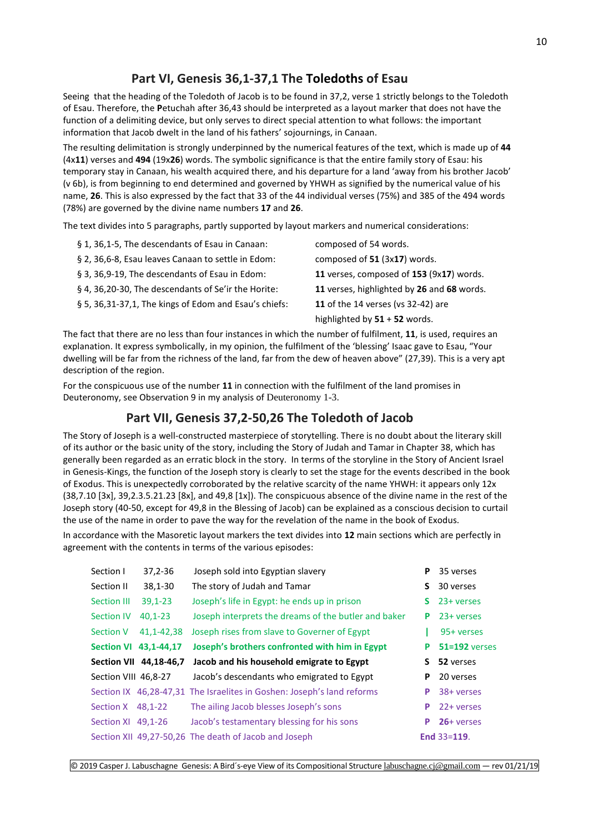# **Part VI, Genesis 36,1-37,1 The Toledoths of Esau**

Seeing that the heading of the Toledoth of Jacob is to be found in 37,2, verse 1 strictly belongs to the Toledoth of Esau. Therefore, the **P**etuchah after 36,43 should be interpreted as a layout marker that does not have the function of a delimiting device, but only serves to direct special attention to what follows: the important information that Jacob dwelt in the land of his fathers' sojournings, in Canaan.

The resulting delimitation is strongly underpinned by the numerical features of the text, which is made up of **44** (4x**11**) verses and **494** (19x**26**) words. The symbolic significance is that the entire family story of Esau: his temporary stay in Canaan, his wealth acquired there, and his departure for a land 'away from his brother Jacob' (v 6b), is from beginning to end determined and governed by YHWH as signified by the numerical value of his name, **26**. This is also expressed by the fact that 33 of the 44 individual verses (75%) and 385 of the 494 words (78%) are governed by the divine name numbers **17** and **26**.

The text divides into 5 paragraphs, partly supported by layout markers and numerical considerations:

| composed of 54 words.                      |
|--------------------------------------------|
| composed of 51 (3x17) words.               |
| 11 verses, composed of 153 (9x17) words.   |
| 11 verses, highlighted by 26 and 68 words. |
| 11 of the 14 verses (vs 32-42) are         |
| highlighted by 51 + 52 words.              |
|                                            |

The fact that there are no less than four instances in which the number of fulfilment, **11**, is used, requires an explanation. It express symbolically, in my opinion, the fulfilment of the 'blessing' Isaac gave to Esau, "Your dwelling will be far from the richness of the land, far from the dew of heaven above" (27,39). This is a very apt description of the region.

For the conspicuous use of the number **11** in connection with the fulfilment of the land promises in Deuteronomy, see Observation 9 in my analysis of [Deuteronomy 1-3](http://www.labuschagne.nl/deut/1deut1-3.pdf).

# **Part VII, Genesis 37,2-50,26 The Toledoth of Jacob**

The Story of Joseph is a well-constructed masterpiece of storytelling. There is no doubt about the literary skill of its author or the basic unity of the story, including the Story of Judah and Tamar in Chapter 38, which has generally been regarded as an erratic block in the story. In terms of the storyline in the Story of Ancient Israel in Genesis-Kings, the function of the Joseph story is clearly to set the stage for the events described in the book of Exodus. This is unexpectedly corroborated by the relative scarcity of the name YHWH: it appears only 12x  $(38,7.10 \, [\frac{3x}{1.39}, \frac{39}{2.3.5.21.23 \, [\frac{8x}{1.39 \, \text{and} \, 49.8 \, [\frac{1x}{1.39 \, \text{and} \, 19.8 \, [\frac{1x}{1.39 \, \text{and} \, 19.8 \, [\frac{1x}{1.39 \, \text{and} \, 19.8 \, [\frac{1x}{1.39 \, \text{and} \, 19.8 \, [\frac{1x}{1.39 \, \text{and} \, 19.8 \, [\frac{1x}{1.39 \, \text{and} \, 19.8$ Joseph story (40-50, except for 49,8 in the Blessing of Jacob) can be explained as a conscious decision to curtail the use of the name in order to pave the way for the revelation of the name in the book of Exodus.

In accordance with the Masoretic layout markers the text divides into **12** main sections which are perfectly in agreement with the contents in terms of the various episodes:

| Section I            | $37,2 - 36$            | Joseph sold into Egyptian slavery                                      | P  | 35 verses         |
|----------------------|------------------------|------------------------------------------------------------------------|----|-------------------|
| Section II           | $38,1 - 30$            | The story of Judah and Tamar                                           | S. | 30 verses         |
| Section III          | $39,1-23$              | Joseph's life in Egypt: he ends up in prison                           | S. | 23+ verses        |
| <b>Section IV</b>    | $40,1-23$              | Joseph interprets the dreams of the butler and baker                   | P  | 23+ verses        |
| <b>Section V</b>     | 41, 1-42, 38           | Joseph rises from slave to Governer of Egypt                           |    | 95+ verses        |
| <b>Section VI</b>    | 43, 1-44, 17           | Joseph's brothers confronted with him in Egypt                         | P  | $51 = 192$ verses |
|                      |                        |                                                                        |    |                   |
|                      | Section VII 44,18-46,7 | Jacob and his household emigrate to Egypt                              |    | 52 verses         |
| Section VIII 46,8-27 |                        | Jacob's descendants who emigrated to Egypt                             | P  | 20 verses         |
|                      |                        | Section IX 46,28-47,31 The Israelites in Goshen: Joseph's land reforms | P  | 38+ verses        |
| Section $X$ 48,1-22  |                        | The ailing Jacob blesses Joseph's sons                                 | P  | 22+ verses        |
| Section XI 49,1-26   |                        | Jacob's testamentary blessing for his sons                             | P  | $26+verses$       |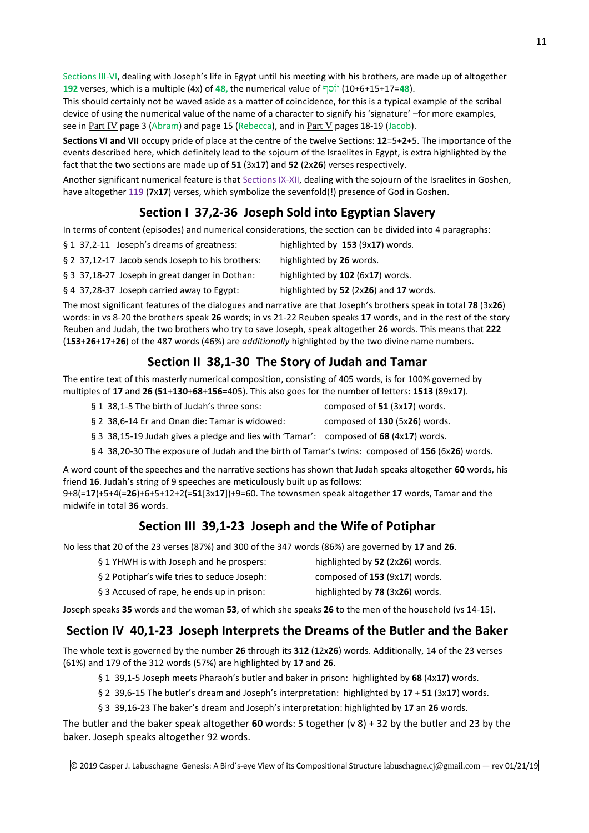Sections III-VI, dealing with Joseph's life in Egypt until his meeting with his brothers, are made up of altogether **192** verses, which is a multiple (4x) of **48,** the numerical value of (10+6+15+17=**48**).

This should certainly not be waved aside as a matter of coincidence, for this is a typical example of the scribal device of using the numerical value of the name of a character to signify his 'signature' –for more examples, see in [Part IV](http://www.labuschagne.nl/genesis/5.gen11,27-25,11.pdf) page 3 (Abram) and page 15 (Rebecca), and in [Part V](http://www.labuschagne.nl/genesis/6.gen25,12-35,29.pdf) pages 18-19 (Jacob).

**Sections VI and VII** occupy pride of place at the centre of the twelve Sections: **12**=5+**2**+5. The importance of the events described here, which definitely lead to the sojourn of the Israelites in Egypt, is extra highlighted by the fact that the two sections are made up of **51** (3x**17**) and **52** (2x**26**) verses respectively.

Another significant numerical feature is that Sections IX-XII, dealing with the sojourn of the Israelites in Goshen, have altogether **119** (**7**x**17**) verses, which symbolize the sevenfold(!) presence of God in Goshen.

# **Section I 37,2-36 Joseph Sold into Egyptian Slavery**

In terms of content (episodes) and numerical considerations, the section can be divided into 4 paragraphs:

- § 1 37,2-11 Joseph's dreams of greatness: highlighted by **153** (9x**17**) words.
- § 2 37,12-17 Jacob sends Joseph to his brothers: highlighted by **26** words.
- 
- 

The most significant features of the dialogues and narrative are that Joseph's brothers speak in total **78** (3x**26**) words: in vs 8-20 the brothers speak **26** words; in vs 21-22 Reuben speaks **17** words, and in the rest of the story Reuben and Judah, the two brothers who try to save Joseph, speak altogether **26** words. This means that **222** (**153**+**26**+**17**+**26**) of the 487 words (46%) are *additionally* highlighted by the two divine name numbers.

# **Section II 38,1-30 The Story of Judah and Tamar**

The entire text of this masterly numerical composition, consisting of 405 words, is for 100% governed by multiples of **17** and **26** (**51**+**130**+**68**+**156**=405). This also goes for the number of letters: **1513** (89x**17**).

- § 1 38,1-5 The birth of Judah's three sons: composed of **51** (3x**17**) words.
- § 2 38,6-14 Er and Onan die: Tamar is widowed: composed of **130** (5x**26**) words.
- § 3 38,15-19 Judah gives a pledge and lies with 'Tamar': composed of **68** (4x**17**) words.
- § 4 38,20-30 The exposure of Judah and the birth of Tamar's twins: composed of **156** (6x**26**) words.

A word count of the speeches and the narrative sections has shown that Judah speaks altogether **60** words, his friend **16**. Judah's string of 9 speeches are meticulously built up as follows:

9+8(=**17**)+5+4(=**26**)+6+5+12+2(=**51**[3x**17**])+9=60. The townsmen speak altogether **17** words, Tamar and the midwife in total **36** words.

# **Section III 39,1-23 Joseph and the Wife of Potiphar**

No less that 20 of the 23 verses (87%) and 300 of the 347 words (86%) are governed by **17** and **26**.

§ 1 YHWH is with Joseph and he prospers: highlighted by **52** (2x**26**) words. § 2 Potiphar's wife tries to seduce Joseph: composed of **153** (9x**17**) words. § 3 Accused of rape, he ends up in prison: highlighted by **78** (3x**26**) words.

Joseph speaks **35** words and the woman **53**, of which she speaks **26** to the men of the household (vs 14-15).

# **Section IV 40,1-23 Joseph Interprets the Dreams of the Butler and the Baker**

The whole text is governed by the number **26** through its **312** (12x**26**) words. Additionally, 14 of the 23 verses (61%) and 179 of the 312 words (57%) are highlighted by **17** and **26**.

§ 1 39,1-5 Joseph meets Pharaoh's butler and baker in prison: highlighted by **68** (4x**17**) words.

§ 2 39,6-15 The butler's dream and Joseph's interpretation: highlighted by **17** + **51** (3x**17**) words.

§ 3 39,16-23 The baker's dream and Joseph's interpretation: highlighted by **17** an **26** words.

The butler and the baker speak altogether **60** words: 5 together (v 8) + 32 by the butler and 23 by the baker. Joseph speaks altogether 92 words.

§ 3 37,18-27 Joseph in great danger in Dothan: highlighted by **102** (6x**17**) words. § 4 37,28-37 Joseph carried away to Egypt: highlighted by **52** (2x**26**) and **17** words.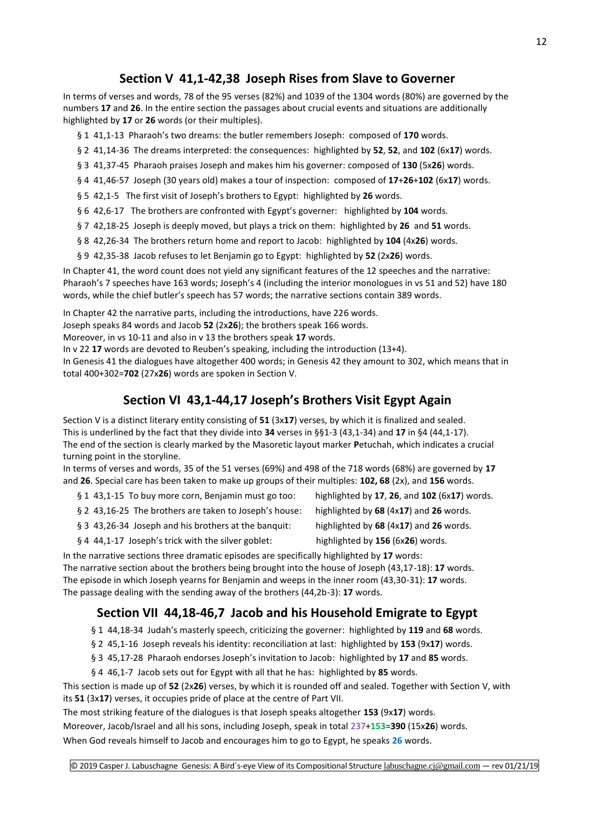# **Section V 41,1-42,38 Joseph Rises from Slave to Governer**

In terms of verses and words, 78 of the 95 verses (82%) and 1039 of the 1304 words (80%) are governed by the numbers **17** and **26**. In the entire section the passages about crucial events and situations are additionally highlighted by **17** or **26** words (or their multiples).

§ 1 41,1-13 Pharaoh's two dreams: the butler remembers Joseph: composed of **170** words.

§ 2 41,14-36 The dreams interpreted: the consequences: highlighted by **52**, **52**, and **102** (6x**17**) words.

§ 3 41,37-45 Pharaoh praises Joseph and makes him his governer: composed of **130** (5x**26**) words.

§ 4 41,46-57 Joseph (30 years old) makes a tour of inspection: composed of **17**+**26**+**102** (6x**17**) words.

§ 5 42,1-5 The first visit of Joseph's brothers to Egypt: highlighted by **26** words.

§ 6 42,6-17 The brothers are confronted with Egypt's governer: highlighted by **104** words.

§ 7 42,18-25 Joseph is deeply moved, but plays a trick on them: highlighted by **26** and **51** words.

§ 8 42,26-34 The brothers return home and report to Jacob: highlighted by **104** (4x**26**) words.

§ 9 42,35-38 Jacob refuses to let Benjamin go to Egypt: highlighted by **52** (2x**26**) words.

In Chapter 41, the word count does not yield any significant features of the 12 speeches and the narrative: Pharaoh's 7 speeches have 163 words; Joseph's 4 (including the interior monologues in vs 51 and 52) have 180 words, while the chief butler's speech has 57 words; the narrative sections contain 389 words.

In Chapter 42 the narrative parts, including the introductions, have 226 words.

Joseph speaks 84 words and Jacob **52** (2x**26**); the brothers speak 166 words.

Moreover, in vs 10-11 and also in v 13 the brothers speak **17** words.

In v 22 **17** words are devoted to Reuben's speaking, including the introduction (13+4).

In Genesis 41 the dialogues have altogether 400 words; in Genesis 42 they amount to 302, which means that in total 400+302=**702** (27x**26**) words are spoken in Section V.

# **Section VI 43,1-44,17 Joseph's Brothers Visit Egypt Again**

Section V is a distinct literary entity consisting of **51** (3x**17**) verses, by which it is finalized and sealed. This is underlined by the fact that they divide into **34** verses in §§1-3 (43,1-34) and **17** in §4 (44,1-17). The end of the section is clearly marked by the Masoretic layout marker **P**etuchah, which indicates a crucial turning point in the storyline.

In terms of verses and words, 35 of the 51 verses (69%) and 498 of the 718 words (68%) are governed by **17** and **26**. Special care has been taken to make up groups of their multiples: **102, 68** (2x), and **156** words.

- § 1 43,1-15 To buy more corn, Benjamin must go too: highlighted by **17**, **26**, and **102** (6x**17**) words.
- § 2 43,16-25 The brothers are taken to Joseph's house: highlighted by **68** (4x**17**) and **26** words.
- -
- § 3 43,26-34 Joseph and his brothers at the banquit: highlighted by **68** (4x**17**) and **26** words.
	-
- § 4 44,1-17 Joseph's trick with the silver goblet: highlighted by **156** (6x**26**) words.

In the narrative sections three dramatic episodes are specifically highlighted by **17** words: The narrative section about the brothers being brought into the house of Joseph (43,17-18): **17** words. The episode in which Joseph yearns for Benjamin and weeps in the inner room (43,30-31): **17** words. The passage dealing with the sending away of the brothers (44,2b-3): **17** words.

# **Section VII 44,18-46,7 Jacob and his Household Emigrate to Egypt**

- § 1 44,18-34 Judah's masterly speech, criticizing the governer: highlighted by **119** and **68** words.
- § 2 45,1-16 Joseph reveals his identity: reconciliation at last: highlighted by **153** (9x**17**) words.
- § 3 45,17-28 Pharaoh endorses Joseph's invitation to Jacob: highlighted by **17** and **85** words.
- § 4 46,1-7 Jacob sets out for Egypt with all that he has: highlighted by **85** words.

This section is made up of **52** (2x**26**) verses, by which it is rounded off and sealed. Together with Section V, with its **51** (3x**17**) verses, it occupies pride of place at the centre of Part VII.

The most striking feature of the dialogues is that Joseph speaks altogether **153** (9x**17**) words.

Moreover, Jacob/Israel and all his sons, including Joseph, speak in total 237+**153**=**390** (15x**26**) words.

When God reveals himself to Jacob and encourages him to go to Egypt, he speaks **26** words.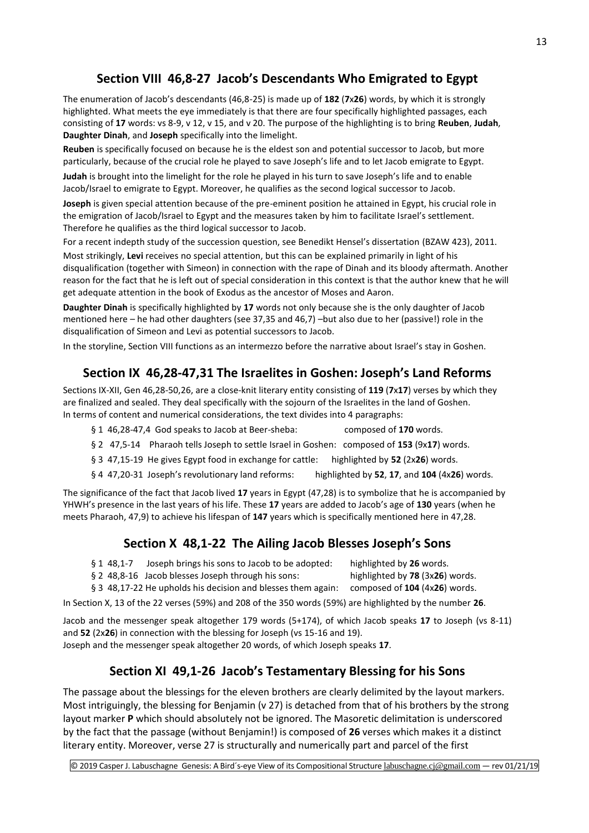# **Section VIII 46,8-27 Jacob's Descendants Who Emigrated to Egypt**

The enumeration of Jacob's descendants (46,8-25) is made up of **182** (**7**x**26**) words, by which it is strongly highlighted. What meets the eye immediately is that there are four specifically highlighted passages, each consisting of **17** words: vs 8-9, v 12, v 15, and v 20. The purpose of the highlighting is to bring **Reuben**, **Judah**, **Daughter Dinah**, and **Joseph** specifically into the limelight.

**Reuben** is specifically focused on because he is the eldest son and potential successor to Jacob, but more particularly, because of the crucial role he played to save Joseph's life and to let Jacob emigrate to Egypt.

**Judah** is brought into the limelight for the role he played in his turn to save Joseph's life and to enable Jacob/Israel to emigrate to Egypt. Moreover, he qualifies as the second logical successor to Jacob.

**Joseph** is given special attention because of the pre-eminent position he attained in Egypt, his crucial role in the emigration of Jacob/Israel to Egypt and the measures taken by him to facilitate Israel's settlement. Therefore he qualifies as the third logical successor to Jacob.

For a recent indepth study of the succession question, see Benedikt Hensel's dissertation (BZAW 423), 2011. Most strikingly, **Levi** receives no special attention, but this can be explained primarily in light of his disqualification (together with Simeon) in connection with the rape of Dinah and its bloody aftermath. Another reason for the fact that he is left out of special consideration in this context is that the author knew that he will get adequate attention in the book of Exodus as the ancestor of Moses and Aaron.

**Daughter Dinah** is specifically highlighted by **17** words not only because she is the only daughter of Jacob mentioned here – he had other daughters (see 37,35 and 46,7) –but also due to her (passive!) role in the disqualification of Simeon and Levi as potential successors to Jacob.

In the storyline, Section VIII functions as an intermezzo before the narrative about Israel's stay in Goshen.

# **Section IX 46,28-47,31 The Israelites in Goshen: Joseph's Land Reforms**

Sections IX-XII, Gen 46,28-50,26, are a close-knit literary entity consisting of **119** (**7**x**17**) verses by which they are finalized and sealed. They deal specifically with the sojourn of the Israelites in the land of Goshen. In terms of content and numerical considerations, the text divides into 4 paragraphs:

- § 1 46,28-47,4 God speaks to Jacob at Beer-sheba: composed of **170** words.
- § 2 47,5-14 Pharaoh tells Joseph to settle Israel in Goshen: composed of **153** (9x**17**) words.
- § 3 47,15-19 He gives Egypt food in exchange for cattle: highlighted by **52** (2x**26**) words.
- § 4 47,20-31 Joseph's revolutionary land reforms: highlighted by **52**, **17**, and **104** (4x**26**) words.

The significance of the fact that Jacob lived **17** years in Egypt (47,28) is to symbolize that he is accompanied by YHWH's presence in the last years of his life. These **17** years are added to Jacob's age of **130** years (when he meets Pharaoh, 47,9) to achieve his lifespan of **147** years which is specifically mentioned here in 47,28.

# **Section X 48,1-22 The Ailing Jacob Blesses Joseph's Sons**

- § 1 48,1-7 Joseph brings his sons to Jacob to be adopted: highlighted by **26** words.
- § 2 48,8-16 Jacob blesses Joseph through his sons: highlighted by **78** (3x**26**) words.
- 
- § 3 48,17-22 He upholds his decision and blesses them again: composed of **104** (4x**26**) words.
- In Section X, 13 of the 22 verses (59%) and 208 of the 350 words (59%) are highlighted by the number **26**.

Jacob and the messenger speak altogether 179 words (5+174), of which Jacob speaks **17** to Joseph (vs 8-11) and **52** (2x**26**) in connection with the blessing for Joseph (vs 15-16 and 19). Joseph and the messenger speak altogether 20 words, of which Joseph speaks **17**.

# **Section XI 49,1-26 Jacob's Testamentary Blessing for his Sons**

The passage about the blessings for the eleven brothers are clearly delimited by the layout markers. Most intriguingly, the blessing for Benjamin (v 27) is detached from that of his brothers by the strong layout marker **P** which should absolutely not be ignored. The Masoretic delimitation is underscored by the fact that the passage (without Benjamin!) is composed of **26** verses which makes it a distinct literary entity. Moreover, verse 27 is structurally and numerically part and parcel of the first